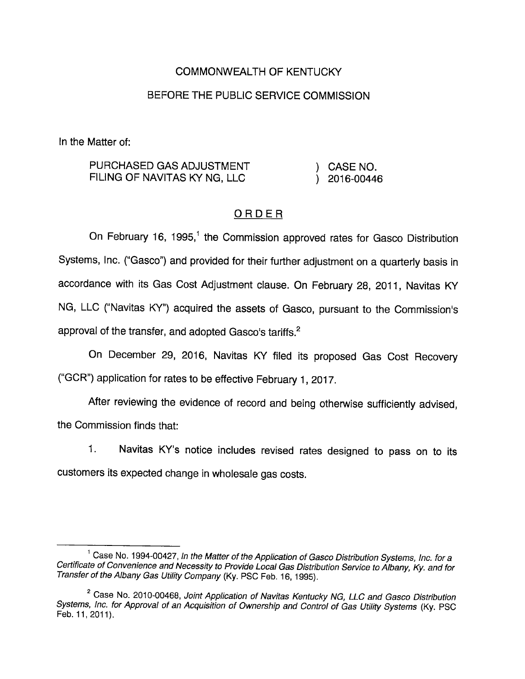## COMMONWEALTH OF KENTUCKY

# BEFORE THE PUBLIC SERVICE COMMISSION

In the Matter of:

| PURCHASED GAS ADJUSTMENT     | CASE NO.       |
|------------------------------|----------------|
| FILING OF NAVITAS KY NG, LLC | $)$ 2016-00446 |

## **ORDER**

On February 16, 1995,<sup>1</sup> the Commission approved rates for Gasco Distribution Systems, Inc. ("Gasco") and provided for their further adjustment on a quarterly basis in accordance with its Gas Cost Adjustment clause. On February 28, 2011, Navitas KY NG, LLC ("Navitas KY") acquired the assets of Gasco, pursuant to the Commission's approval of the transfer, and adopted Gasco's tariffs.<sup>2</sup>

On December 29, 2016, Navitas KY filed its proposed Gas Cost Recovery ("GCR") application for rates to be effective February 1, 2017.

After reviewing the evidence of record and being otherwise sufficiently advised, the Commission finds that:

1. Navitas KY's notice includes revised rates designed to pass on to its customers its expected change in wholesale gas costs.

 $1$  Case No. 1994-00427, In the Matter of the Application of Gasco Distribution Systems, Inc. for a Certificate of Convenience and Necessity to Provide Local Gas Distribution Service to Albany, Ky. and for Transfer of the Albany Gas Utility Company (Ky. PSC Feb. 16, 1995).

<sup>&</sup>lt;sup>2</sup> Case No. 2010-00468, Joint Application of Navitas Kentucky NG, LLC and Gasco Distribution Systems, inc. for Approval of an Acquisition of Ownership and Control of Gas Utility Systems (Ky. PSC Feb. 11,2011).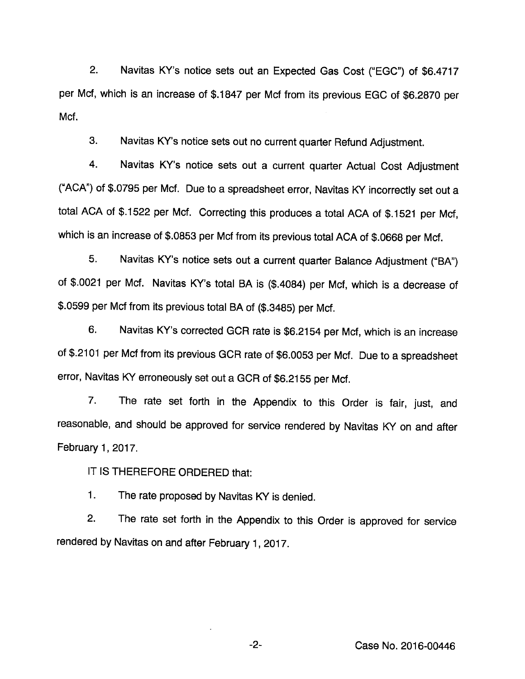2. Navitas KY's notice sets out an Expected Gas Cost ("EGG") of \$6.4717 per Met, which is an increase of \$.1847 per Mcf from its previous EGG of \$6.2870 per Mcf.

3. Navitas KY's notice sets out no current quarter Refund Adjustment.

4. Navitas KY's notice sets out a current quarter Actual Cost Adjustment ("ACA") of \$.0795 per Mcf. Due to a spreadsheet error, Navitas KY incorrectly set out a total AGA of \$.1522 per Mcf. Correcting this produces a total AGA of \$.1521 per Mcf, which is an increase of \$.0853 per Mcf from its previous total AGA of \$.0668 per Mcf.

5. Navitas KY's notice sets out a current quarter Balance Adjustment ("BA") of \$.0021 per Mcf. Navitas KY's total BA is (\$.4084) per Mcf, which is a decrease of \$.0599 per Mcf from its previous total BA of (\$.3485) per Mcf.

6. Navitas KY's corrected GGR rate is \$6.2154 per Mcf, which is an increase of \$.2101 per Mcf from its previous GGR rate of \$6.0053 per Mcf. Due to a spreadsheet error, Navitas KY erroneously set out a GCR of \$6.2155 per Mcf.

7. The rate set forth in the Appendix to this Order is fair, just, and reasonable, and should be approved for service rendered by Navitas KY on and after February 1, 2017.

IT IS THEREFORE ORDERED that:

1. The rate proposed by Navitas KY is denied.

2. The rate set forth in the Appendix to this Order is approved for service rendered by Navitas on and after February 1, 2017.

-2- Gase No. 2016-00446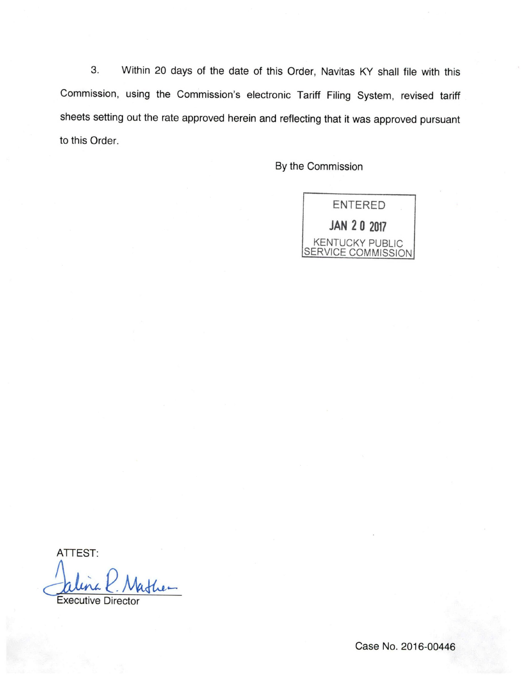3. Within 20 days of the date of this Order, Navitas KY shall file with this Commission, using the Commission's electronic Tariff Filing System, revised tariff sheets setting out the rate approved herein and reflecting that it was approved pursuant to this Order.

By the Commission



ATTEST:

P.

Executive Director

Case No. 2016-00446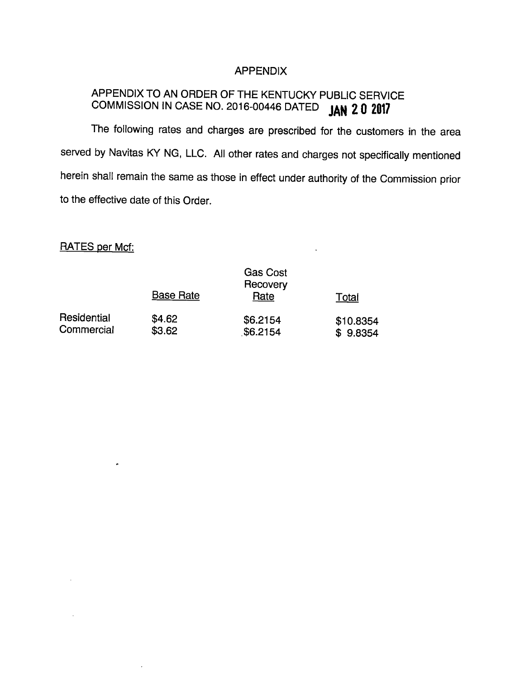#### APPENDIX

# APPENDIX TO AN ORDER OF THE KENTUCKY PUBLIC SERVICE COMMISSION IN CASE NO. 2016-00446 DATED JAN 20 2017

The following rates and charges are prescribed for the customers in the area served by Navitas KY NG, LLC. All other rates and charges not specifically mentioned herein shall remain the same as those in effect under authority of the Commission prior to the effective date of this Order.

# RATES per Mcf:

 $\epsilon$ 

|             | <b>Base Rate</b> | <b>Gas Cost</b><br>Recovery<br>Rate | Total     |
|-------------|------------------|-------------------------------------|-----------|
| Residential | \$4.62           | \$6.2154                            | \$10.8354 |
| Commercial  | \$3.62           | \$6.2154                            | \$9.8354  |